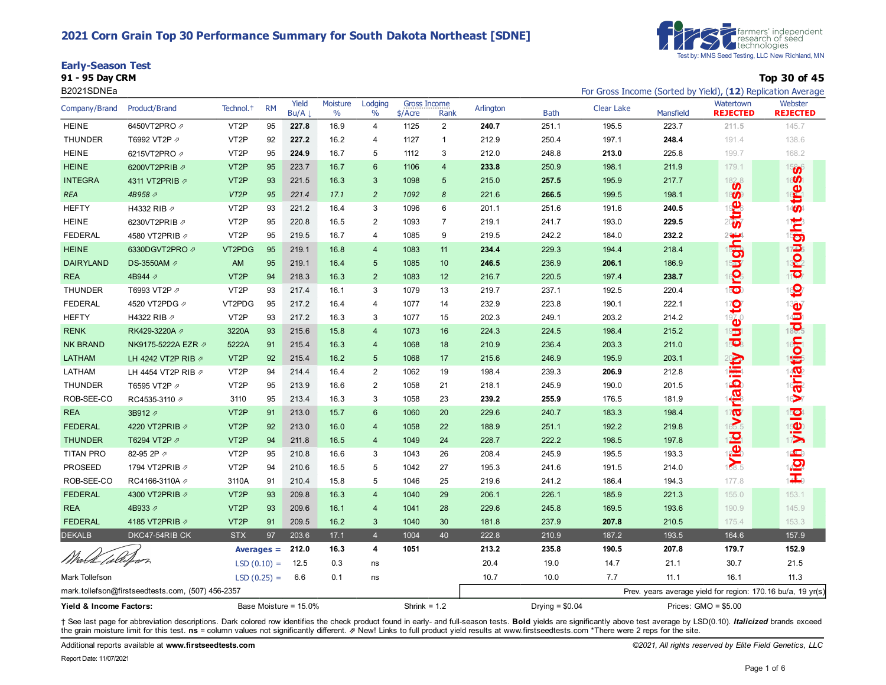#### **2021 Corn Grain Top 30 Performance Summary for South Dakota Northeast [SDNE]**





**91 - 95 Day CRM Top 30 of 45**

| B2021SDNEa              |                                                   |                       |                       |               |                           |                           |                                  |                 |                  |             | For Gross Income (Sorted by Yield), (12) Replication Average |                       |                                                             |                            |
|-------------------------|---------------------------------------------------|-----------------------|-----------------------|---------------|---------------------------|---------------------------|----------------------------------|-----------------|------------------|-------------|--------------------------------------------------------------|-----------------------|-------------------------------------------------------------|----------------------------|
| Company/Brand           | Product/Brand                                     | Technol. <sup>+</sup> | <b>RM</b>             | Yield<br>Bu/A | Moisture<br>$\frac{0}{0}$ | Lodging<br>$\frac{0}{0}$  | <b>Gross Income</b><br>$$/$ Acre | Rank            | Arlington        | <b>Bath</b> | <b>Clear Lake</b>                                            | Mansfield             | Watertown<br><b>REJECTED</b>                                | Webster<br><b>REJECTED</b> |
| <b>HEINE</b>            | 6450VT2PRO 2                                      | VT <sub>2</sub> P     | 95                    | 227.8         | 16.9                      | 4                         | 1125                             | 2               | 240.7            | 251.1       | 195.5                                                        | 223.7                 | 211.5                                                       | 145.7                      |
| <b>THUNDER</b>          | T6992 VT2P 2                                      | VT <sub>2</sub> P     | 92                    | 227.2         | 16.2                      | 4                         | 1127                             | $\mathbf{1}$    | 212.9            | 250.4       | 197.1                                                        | 248.4                 | 191.4                                                       | 138.6                      |
| <b>HEINE</b>            | 6215VT2PRO 2                                      | VT <sub>2</sub> P     | 95                    | 224.9         | 16.7                      | 5                         | 1112                             | 3               | 212.0            | 248.8       | 213.0                                                        | 225.8                 | 199.7                                                       | 168.2                      |
| <b>HEINE</b>            | 6200VT2PRIB 2                                     | VT <sub>2P</sub>      | 95                    | 223.7         | 16.7                      | 6                         | 1106                             | $\overline{4}$  | 233.8            | 250.9       | 198.1                                                        | 211.9                 | 179.1                                                       | 1566                       |
| <b>INTEGRA</b>          | 4311 VT2PRIB 2                                    | VT <sub>2</sub> P     | 93                    | 221.5         | 16.3                      | 3                         | 1098                             | $5\phantom{.0}$ | 215.0            | 257.5       | 195.9                                                        | 217.7                 | 1828                                                        | 16 <b>0</b>                |
| <b>REA</b>              | 4B958 A                                           | VT <sub>2</sub> P     | 95                    | 221.4         | 17.1                      | 2                         | 1092                             | 8               | 221.6            | 266.5       | 199.5                                                        | 198.1                 | 18 <b>0</b>                                                 | stre                       |
| <b>HEFTY</b>            | H4332 RIB 7                                       | VT <sub>2</sub> P     | 93                    | 221.2         | 16.4                      | 3                         | 1096                             | 6               | 201.1            | 251.6       | 191.6                                                        | 240.5                 | <b>READER</b>                                               |                            |
| <b>HEINE</b>            | 6230VT2PRIB 2                                     | VT <sub>2</sub> P     | 95                    | 220.8         | 16.5                      | $\overline{2}$            | 1093                             | $\overline{7}$  | 219.1            | 241.7       | 193.0                                                        | 229.5                 |                                                             |                            |
| <b>FEDERAL</b>          | 4580 VT2PRIB 2                                    | VT <sub>2</sub> P     | 95                    | 219.5         | 16.7                      | 4                         | 1085                             | 9               | 219.5            | 242.2       | 184.0                                                        | 232.2                 |                                                             |                            |
| <b>HEINE</b>            | 6330DGVT2PRO 2                                    | VT2PDG                | 95                    | 219.1         | 16.8                      | $\overline{4}$            | 1083                             | 11              | 234.4            | 229.3       | 194.4                                                        | 218.4                 | $\frac{2\pi}{3}$                                            | drought                    |
| <b>DAIRYLAND</b>        | DS-3550AM 2                                       | AM                    | 95                    | 219.1         | 16.4                      | 5                         | 1085                             | 10              | 246.5            | 236.9       | 206.1                                                        | 186.9                 | $15\overline{4}$                                            |                            |
| <b>REA</b>              | 4B944 2                                           | VT <sub>2</sub> P     | 94                    | 218.3         | 16.3                      | $\overline{2}$            | 1083                             | 12              | 216.7            | 220.5       | 197.4                                                        | 238.7                 | <u>ဝု</u>                                                   |                            |
| <b>THUNDER</b>          | T6993 VT2P 2                                      | VT <sub>2</sub> P     | 93                    | 217.4         | 16.1                      | 3                         | 1079                             | 13              | 219.7            | 237.1       | 192.5                                                        | 220.4                 | 1800                                                        | S                          |
| <b>FEDERAL</b>          | 4520 VT2PDG 2                                     | VT2PDG                | 95                    | 217.2         | 16.4                      | 4                         | 1077                             | 14              | 232.9            | 223.8       | 190.1                                                        | 222.1                 |                                                             |                            |
| <b>HEFTY</b>            | H4322 RIB 2                                       | VT <sub>2</sub> P     | 93                    | 217.2         | 16.3                      | 3                         | 1077                             | 15              | 202.3            | 249.1       | 203.2                                                        | 214.2                 | $\frac{1}{2}$                                               | <b>ariation adue</b>       |
| <b>RENK</b>             | RK429-3220A 2                                     | 3220A                 | 93                    | 215.6         | 15.8                      | $\overline{4}$            | 1073                             | 16              | 224.3            | 224.5       | 198.4                                                        | 215.2                 | 19 <sub>15</sub>                                            |                            |
| <b>NK BRAND</b>         | NK9175-5222A EZR Ø                                | 5222A                 | 91                    | 215.4         | 16.3                      | $\overline{4}$            | 1068                             | 18              | 210.9            | 236.4       | 203.3                                                        | 211.0                 | 150 <sub>3</sub>                                            |                            |
| <b>LATHAM</b>           | LH 4242 VT2P RIB 2                                | VT <sub>2P</sub>      | 92                    | 215.4         | 16.2                      | $5\phantom{.0}$           | 1068                             | 17              | 215.6            | 246.9       | 195.9                                                        | 203.1                 | <b>Injability</b>                                           |                            |
| LATHAM                  | LH 4454 VT2P RIB 2                                | VT <sub>2</sub> P     | 94                    | 214.4         | 16.4                      | $\overline{2}$            | 1062                             | 19              | 198.4            | 239.3       | 206.9                                                        | 212.8                 |                                                             |                            |
| <b>THUNDER</b>          | T6595 VT2P 2                                      | VT <sub>2</sub> P     | 95                    | 213.9         | 16.6                      | 2                         | 1058                             | 21              | 218.1            | 245.9       | 190.0                                                        | 201.5                 |                                                             |                            |
| ROB-SEE-CO              | RC4535-3110 2                                     | 3110                  | 95                    | 213.4         | 16.3                      | 3                         | 1058                             | 23              | 239.2            | 255.9       | 176.5                                                        | 181.9                 |                                                             | $16 - 7$                   |
| <b>REA</b>              | 3B912 A                                           | VT <sub>2P</sub>      | 91                    | 213.0         | 15.7                      | 6                         | 1060                             | 20              | 229.6            | 240.7       | 183.3                                                        | 198.4                 | $\overline{\mathbf{Q}}$                                     | $\vec{v}$ ielä             |
| <b>FEDERAL</b>          | 4220 VT2PRIB 2                                    | VT <sub>2</sub> P     | 92                    | 213.0         | 16.0                      | $\overline{4}$            | 1058                             | 22              | 188.9            | 251.1       | 192.2                                                        | 219.8                 |                                                             |                            |
| <b>THUNDER</b>          | T6294 VT2P 2                                      | VT <sub>2</sub> P     | 94                    | 211.8         | 16.5                      | $\overline{4}$            | 1049                             | 24              | 228.7            | 222.2       | 198.5                                                        | 197.8                 | $\frac{1}{2}$                                               |                            |
| <b>TITAN PRO</b>        | 82-95 2P 2                                        | VT <sub>2</sub> P     | 95                    | 210.8         | 16.6                      | $\ensuremath{\mathsf{3}}$ | 1043                             | 26              | 208.4            | 245.9       | 195.5                                                        | 193.3                 |                                                             | i <mark>o</mark><br>HD     |
| <b>PROSEED</b>          | 1794 VT2PRIB 2                                    | VT <sub>2</sub> P     | 94                    | 210.6         | 16.5                      | 5                         | 1042                             | 27              | 195.3            | 241.6       | 191.5                                                        | 214.0                 |                                                             |                            |
| ROB-SEE-CO              | RC4166-3110A 2                                    | 3110A                 | 91                    | 210.4         | 15.8                      | 5                         | 1046                             | 25              | 219.6            | 241.2       | 186.4                                                        | 194.3                 | 177.8                                                       |                            |
| <b>FEDERAL</b>          | 4300 VT2PRIB 2                                    | VT <sub>2</sub> P     | 93                    | 209.8         | 16.3                      | $\overline{4}$            | 1040                             | 29              | 206.1            | 226.1       | 185.9                                                        | 221.3                 | 155.0                                                       | 153.1                      |
| <b>REA</b>              | 4B933 A                                           | VT <sub>2</sub> P     | 93                    | 209.6         | 16.1                      | $\overline{4}$            | 1041                             | 28              | 229.6            | 245.8       | 169.5                                                        | 193.6                 | 190.9                                                       | 145.9                      |
| <b>FEDERAL</b>          | 4185 VT2PRIB 2                                    | VT <sub>2</sub> P     | 91                    | 209.5         | 16.2                      | 3                         | 1040                             | 30              | 181.8            | 237.9       | 207.8                                                        | 210.5                 | 175.4                                                       | 153.3                      |
| <b>DEKALB</b>           | DKC47-54RIB CK                                    | <b>STX</b>            | 97                    | 203.6         | 17.1                      | $\overline{4}$            | 1004                             | 40              | 222.8            | 210.9       | 187.2                                                        | 193.5                 | 164.6                                                       | 157.9                      |
|                         |                                                   |                       | Averages $=$          | 212.0         | 16.3                      | 4                         | 1051                             |                 | 213.2            | 235.8       | 190.5                                                        | 207.8                 | 179.7                                                       | 152.9                      |
| Watk Collepor           |                                                   |                       | $LSD(0.10) =$         | 12.5          | 0.3                       | ns                        |                                  |                 | 20.4             | 19.0        | 14.7                                                         | 21.1                  | 30.7                                                        | 21.5                       |
| Mark Tollefson          |                                                   |                       | $LSD(0.25) =$         | 6.6           | 0.1                       | ns                        |                                  |                 | 10.7             | 10.0        | 7.7                                                          | 11.1                  | 16.1                                                        | 11.3                       |
|                         | mark.tollefson@firstseedtests.com, (507) 456-2357 |                       |                       |               |                           |                           |                                  |                 |                  |             |                                                              |                       | Prev. years average yield for region: 170.16 bu/a, 19 yr(s) |                            |
| Yield & Income Factors: |                                                   |                       | Base Moisture = 15.0% |               |                           | Shrink = $1.2$            |                                  |                 | Drying = $$0.04$ |             |                                                              | Prices: $GMO = $5.00$ |                                                             |                            |

+ See last page for abbreviation descriptions. Dark colored row identifies the check product found in early- and full-season tests. Bold yields are significantly above test average by LSD(0.10). Italicized brands exceed the grain moisture limit for this test. ns = column values not significantly different. **Ø New! Links to full product yield results at www.firstseedtests.com \*There were 2 reps for the site.** 

Additional reports available at **[www.firstseedtests.com](https://www.firstseedtests.com)** *©2021, All rights reserved by Elite Field Genetics, LLC* 

Report Date: 11/07/2021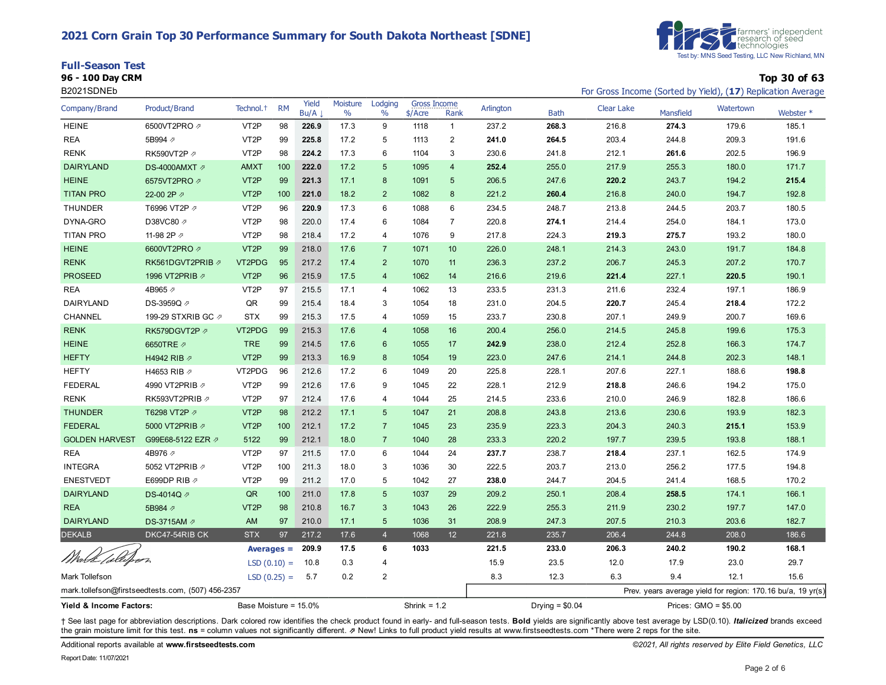#### **2021 Corn Grain Top 30 Performance Summary for South Dakota Northeast [SDNE]**

| <b>Full-Season Test</b> |  |
|-------------------------|--|
|                         |  |



**96 - 100 Day CRM Top 30 of 63**

| B2021SDNEb                                       |                                                   |                       |               |               |                  |                          |                                  |                         |                  |             | For Gross Income (Sorted by Yield), (17) Replication Average |           |                                                             |           |
|--------------------------------------------------|---------------------------------------------------|-----------------------|---------------|---------------|------------------|--------------------------|----------------------------------|-------------------------|------------------|-------------|--------------------------------------------------------------|-----------|-------------------------------------------------------------|-----------|
| Company/Brand                                    | Product/Brand                                     | Technol. <sup>+</sup> | <b>RM</b>     | Yield<br>Bu/A | Moisture<br>$\%$ | Lodging<br>$\frac{0}{0}$ | <b>Gross Income</b><br>$$/$ Acre | Rank                    | Arlington        | <b>Bath</b> | Clear Lake                                                   | Mansfield | Watertown                                                   | Webster * |
| <b>HEINE</b>                                     | 6500VT2PRO 2                                      | VT <sub>2</sub> P     | 98            | 226.9         | 17.3             | 9                        | 1118                             | $\mathbf{1}$            | 237.2            | 268.3       | 216.8                                                        | 274.3     | 179.6                                                       | 185.1     |
| <b>REA</b>                                       | 5B994 2                                           | VT <sub>2</sub> P     | 99            | 225.8         | 17.2             | 5                        | 1113                             | $\overline{\mathbf{c}}$ | 241.0            | 264.5       | 203.4                                                        | 244.8     | 209.3                                                       | 191.6     |
| <b>RENK</b>                                      | RK590VT2P 2                                       | VT <sub>2</sub> P     | 98            | 224.2         | 17.3             | 6                        | 1104                             | 3                       | 230.6            | 241.8       | 212.1                                                        | 261.6     | 202.5                                                       | 196.9     |
| <b>DAIRYLAND</b>                                 | DS-4000AMXT 2                                     | <b>AMXT</b>           | 100           | 222.0         | 17.2             | 5                        | 1095                             | $\overline{4}$          | 252.4            | 255.0       | 217.9                                                        | 255.3     | 180.0                                                       | 171.7     |
| <b>HEINE</b>                                     | 6575VT2PRO 2                                      | VT <sub>2</sub> P     | 99            | 221.3         | 17.1             | 8                        | 1091                             | 5                       | 206.5            | 247.6       | 220.2                                                        | 243.7     | 194.2                                                       | 215.4     |
| <b>TITAN PRO</b>                                 | 22-00 2P 2                                        | VT <sub>2</sub> P     | 100           | 221.0         | 18.2             | 2                        | 1082                             | 8                       | 221.2            | 260.4       | 216.8                                                        | 240.0     | 194.7                                                       | 192.8     |
| <b>THUNDER</b>                                   | T6996 VT2P 2                                      | VT <sub>2</sub> P     | 96            | 220.9         | 17.3             | 6                        | 1088                             | 6                       | 234.5            | 248.7       | 213.8                                                        | 244.5     | 203.7                                                       | 180.5     |
| DYNA-GRO                                         | D38VC80 2                                         | VT <sub>2</sub> P     | 98            | 220.0         | 17.4             | 6                        | 1084                             | $\overline{7}$          | 220.8            | 274.1       | 214.4                                                        | 254.0     | 184.1                                                       | 173.0     |
| <b>TITAN PRO</b>                                 | 11-98 2P 2                                        | VT <sub>2</sub> P     | 98            | 218.4         | 17.2             | 4                        | 1076                             | 9                       | 217.8            | 224.3       | 219.3                                                        | 275.7     | 193.2                                                       | 180.0     |
| <b>HEINE</b>                                     | 6600VT2PRO 2                                      | VT <sub>2</sub> P     | 99            | 218.0         | 17.6             | $\overline{7}$           | 1071                             | 10 <sup>1</sup>         | 226.0            | 248.1       | 214.3                                                        | 243.0     | 191.7                                                       | 184.8     |
| <b>RENK</b>                                      | RK561DGVT2PRIB ⊉                                  | VT2PDG                | 95            | 217.2         | 17.4             | $\overline{2}$           | 1070                             | 11                      | 236.3            | 237.2       | 206.7                                                        | 245.3     | 207.2                                                       | 170.7     |
| <b>PROSEED</b>                                   | 1996 VT2PRIB 2                                    | VT <sub>2</sub> P     | 96            | 215.9         | 17.5             | $\overline{4}$           | 1062                             | 14                      | 216.6            | 219.6       | 221.4                                                        | 227.1     | 220.5                                                       | 190.1     |
| <b>REA</b>                                       | 4B965 2                                           | VT <sub>2</sub> P     | 97            | 215.5         | 17.1             | 4                        | 1062                             | 13                      | 233.5            | 231.3       | 211.6                                                        | 232.4     | 197.1                                                       | 186.9     |
| DAIRYLAND                                        | DS-3959Q <sub>∕</sub>                             | QR                    | 99            | 215.4         | 18.4             | 3                        | 1054                             | 18                      | 231.0            | 204.5       | 220.7                                                        | 245.4     | 218.4                                                       | 172.2     |
| CHANNEL                                          | 199-29 STXRIB GC 2                                | <b>STX</b>            | 99            | 215.3         | 17.5             | 4                        | 1059                             | 15                      | 233.7            | 230.8       | 207.1                                                        | 249.9     | 200.7                                                       | 169.6     |
| <b>RENK</b>                                      | RK579DGVT2P 2                                     | VT2PDG                | 99            | 215.3         | 17.6             | $\overline{4}$           | 1058                             | 16                      | 200.4            | 256.0       | 214.5                                                        | 245.8     | 199.6                                                       | 175.3     |
| <b>HEINE</b>                                     | 6650TRE 2                                         | <b>TRE</b>            | 99            | 214.5         | 17.6             | 6                        | 1055                             | 17                      | 242.9            | 238.0       | 212.4                                                        | 252.8     | 166.3                                                       | 174.7     |
| <b>HEFTY</b>                                     | H4942 RIB 2                                       | VT <sub>2</sub> P     | 99            | 213.3         | 16.9             | 8                        | 1054                             | 19                      | 223.0            | 247.6       | 214.1                                                        | 244.8     | 202.3                                                       | 148.1     |
| <b>HEFTY</b>                                     | H4653 RIB 2                                       | VT2PDG                | 96            | 212.6         | 17.2             | 6                        | 1049                             | 20                      | 225.8            | 228.1       | 207.6                                                        | 227.1     | 188.6                                                       | 198.8     |
| <b>FEDERAL</b>                                   | 4990 VT2PRIB 2                                    | VT <sub>2</sub> P     | 99            | 212.6         | 17.6             | 9                        | 1045                             | 22                      | 228.1            | 212.9       | 218.8                                                        | 246.6     | 194.2                                                       | 175.0     |
| <b>RENK</b>                                      | RK593VT2PRIB 2                                    | VT <sub>2</sub> P     | 97            | 212.4         | 17.6             | 4                        | 1044                             | 25                      | 214.5            | 233.6       | 210.0                                                        | 246.9     | 182.8                                                       | 186.6     |
| <b>THUNDER</b>                                   | T6298 VT2P 2                                      | VT <sub>2</sub> P     | 98            | 212.2         | 17.1             | 5                        | 1047                             | 21                      | 208.8            | 243.8       | 213.6                                                        | 230.6     | 193.9                                                       | 182.3     |
| <b>FEDERAL</b>                                   | 5000 VT2PRIB 2                                    | VT <sub>2</sub> P     | 100           | 212.1         | 17.2             | $\overline{7}$           | 1045                             | 23                      | 235.9            | 223.3       | 204.3                                                        | 240.3     | 215.1                                                       | 153.9     |
| <b>GOLDEN HARVEST</b>                            | G99E68-5122 EZR 2                                 | 5122                  | 99            | 212.1         | 18.0             | $\overline{7}$           | 1040                             | 28                      | 233.3            | 220.2       | 197.7                                                        | 239.5     | 193.8                                                       | 188.1     |
| <b>REA</b>                                       | 4B976 2                                           | VT <sub>2</sub> P     | 97            | 211.5         | 17.0             | 6                        | 1044                             | 24                      | 237.7            | 238.7       | 218.4                                                        | 237.1     | 162.5                                                       | 174.9     |
| <b>INTEGRA</b>                                   | 5052 VT2PRIB 2                                    | VT <sub>2</sub> P     | 100           | 211.3         | 18.0             | 3                        | 1036                             | 30                      | 222.5            | 203.7       | 213.0                                                        | 256.2     | 177.5                                                       | 194.8     |
| <b>ENESTVEDT</b>                                 | E699DP RIB 2                                      | VT <sub>2</sub> P     | 99            | 211.2         | 17.0             | 5                        | 1042                             | 27                      | 238.0            | 244.7       | 204.5                                                        | 241.4     | 168.5                                                       | 170.2     |
| <b>DAIRYLAND</b>                                 | DS-4014Q 2                                        | QR                    | 100           | 211.0         | 17.8             | 5                        | 1037                             | 29                      | 209.2            | 250.1       | 208.4                                                        | 258.5     | 174.1                                                       | 166.1     |
| <b>REA</b>                                       | 5B984 2                                           | VT <sub>2</sub> P     | 98            | 210.8         | 16.7             | 3                        | 1043                             | 26                      | 222.9            | 255.3       | 211.9                                                        | 230.2     | 197.7                                                       | 147.0     |
| <b>DAIRYLAND</b>                                 | DS-3715AM 2                                       | AM                    | 97            | 210.0         | 17.1             | 5                        | 1036                             | 31                      | 208.9            | 247.3       | 207.5                                                        | 210.3     | 203.6                                                       | 182.7     |
| <b>DEKALB</b>                                    | DKC47-54RIB CK                                    | <b>STX</b>            | 97            | 217.2         | 17.6             | $\overline{4}$           | 1068                             | 12                      | 221.8            | 235.7       | 206.4                                                        | 244.8     | 208.0                                                       | 186.6     |
| Widde <i>(o</i> lliheer                          |                                                   | Averages $=$          |               | 209.9         | 17.5             | 6                        | 1033                             |                         | 221.5            | 233.0       | 206.3                                                        | 240.2     | 190.2                                                       | 168.1     |
|                                                  |                                                   |                       | $LSD(0.10) =$ | 10.8          | 0.3              | 4                        |                                  |                         | 15.9             | 23.5        | 12.0                                                         | 17.9      | 23.0                                                        | 29.7      |
| Mark Tollefson                                   |                                                   | $LSD(0.25) =$         |               | 5.7           | 0.2              | $\overline{2}$           |                                  |                         | 8.3              | 12.3        | 6.3                                                          | 9.4       | 12.1                                                        | 15.6      |
|                                                  | mark.tollefson@firstseedtests.com, (507) 456-2357 |                       |               |               |                  |                          |                                  |                         |                  |             |                                                              |           | Prev. years average yield for region: 170.16 bu/a, 19 yr(s) |           |
| Yield & Income Factors:<br>Base Moisture = 15.0% |                                                   |                       |               |               |                  | Shrink = $1.2$           |                                  |                         | Drying = $$0.04$ |             | Prices: $GMO = $5.00$                                        |           |                                                             |           |

+ See last page for abbreviation descriptions. Dark colored row identifies the check product found in early- and full-season tests. Bold yields are significantly above test average by LSD(0.10). Italicized brands exceed the grain moisture limit for this test. ns = column values not significantly different. *A* New! Links to full product yield results at www.firstseedtests.com \*There were 2 reps for the site.

Additional reports available at **[www.firstseedtests.com](https://www.firstseedtests.com)** *©2021, All rights reserved by Elite Field Genetics, LLC*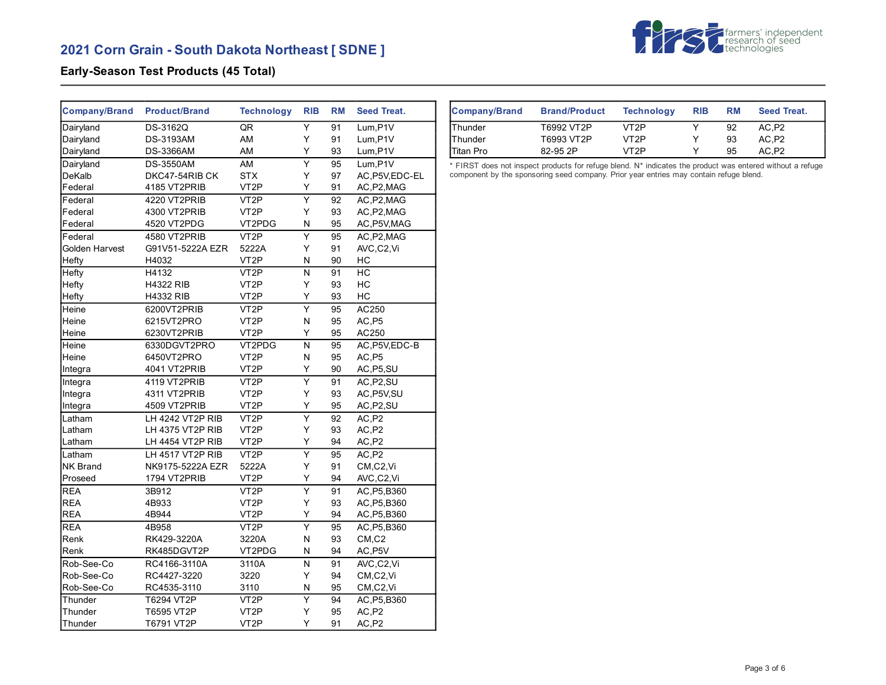# **2021 Corn Grain - South Dakota Northeast [ SDNE ]**



## **Early-Season Test Products (45 Total)**

| <b>Company/Brand</b> | <b>Product/Brand</b> | <b>Technology</b> | <b>RIB</b>              | <b>RM</b> | <b>Seed Treat.</b>     |
|----------------------|----------------------|-------------------|-------------------------|-----------|------------------------|
| Dairyland            | DS-3162Q             | QR                | $\overline{\mathsf{Y}}$ | 91        | Lum, P1V               |
| Dairyland            | <b>DS-3193AM</b>     | AM                | Y                       | 91        | Lum, P1V               |
| Dairyland            | <b>DS-3366AM</b>     | AM                | Y                       | 93        | $Lum$ , $P1V$          |
| Dairyland            | <b>DS-3550AM</b>     | AM                | $\overline{Y}$          | 95        | Lum, P1V               |
| DeKalb               | DKC47-54RIB CK       | <b>STX</b>        | Y                       | 97        | AC, P5V, EDC-EL        |
| Federal              | 4185 VT2PRIB         | VT <sub>2</sub> P | Y                       | 91        | AC, P2, MAG            |
| Federal              | 4220 VT2PRIB         | VT <sub>2</sub> P | Ÿ                       | 92        | AC, P2, MAG            |
| Federal              | 4300 VT2PRIB         | VT <sub>2</sub> P | Y                       | 93        | AC, P2, MAG            |
| Federal              | 4520 VT2PDG          | VT2PDG            | N                       | 95        | AC, P5V, MAG           |
| Federal              | 4580 VT2PRIB         | VT <sub>2</sub> P | Υ                       | 95        | AC, P2, MAG            |
| Golden Harvest       | G91V51-5222A EZR     | 5222A             | Y                       | 91        | AVC,C2,Vi              |
| Hefty                | H4032                | VT <sub>2</sub> P | N                       | 90        | НC                     |
| Hefty                | H4132                | VT <sub>2</sub> P | N                       | 91        | HC                     |
| Hefty                | <b>H4322 RIB</b>     | VT <sub>2</sub> P | Y                       | 93        | HC                     |
| Hefty                | <b>H4332 RIB</b>     | VT <sub>2</sub> P | Y                       | 93        | HC                     |
| Heine                | 6200VT2PRIB          | VT <sub>2</sub> P | Y                       | 95        | AC250                  |
| Heine                | 6215VT2PRO           | VT <sub>2</sub> P | N                       | 95        | AC,P5                  |
| Heine                | 6230VT2PRIB          | VT <sub>2</sub> P | Υ                       | 95        | AC250                  |
| Heine                | 6330DGVT2PRO         | VT2PDG            | N                       | 95        | AC, P5V, EDC-B         |
| Heine                | 6450VT2PRO           | VT <sub>2</sub> P | N                       | 95        | AC,P5                  |
| Integra              | 4041 VT2PRIB         | VT <sub>2</sub> P | Y                       | 90        | AC, P5, SU             |
| Integra              | 4119 VT2PRIB         | VT <sub>2</sub> P | $\overline{\mathsf{Y}}$ | 91        | AC, P2, SU             |
| Integra              | 4311 VT2PRIB         | VT <sub>2</sub> P | Y                       | 93        | AC, P5V, SU            |
| Integra              | 4509 VT2PRIB         | VT <sub>2</sub> P | Υ                       | 95        | AC, P2, SU             |
| Latham               | LH 4242 VT2P RIB     | VT <sub>2</sub> P | Ÿ                       | 92        | AC.P2                  |
| Latham               | LH 4375 VT2P RIB     | VT <sub>2</sub> P | Υ                       | 93        | AC,P2                  |
| Latham               | LH 4454 VT2P RIB     | VT <sub>2</sub> P | Y                       | 94        | AC,P2                  |
| Latham               | LH 4517 VT2P RIB     | VT <sub>2</sub> P | $\overline{\mathsf{Y}}$ | 95        | AC,P2                  |
| <b>NK Brand</b>      | NK9175-5222A EZR     | 5222A             | Y                       | 91        | CM,C2,Vi               |
| Proseed              | 1794 VT2PRIB         | VT <sub>2</sub> P | Y                       | 94        | AVC,C2,Vi              |
| <b>REA</b>           | 3B912                | VT <sub>2</sub> P | $\overline{Y}$          | 91        | AC, P5, B360           |
| <b>REA</b>           | 4B933                | VT <sub>2</sub> P | Υ                       | 93        | AC, P5, B360           |
| <b>REA</b>           | 4B944                | VT <sub>2</sub> P | Y                       | 94        | AC, P5, B360           |
| <b>REA</b>           | 4B958                | VT <sub>2</sub> P | $\overline{Y}$          | 95        | AC, P5, B360           |
| Renk                 | RK429-3220A          | 3220A             | N                       | 93        | $CM$ <sub>,</sub> $C2$ |
| Renk                 | RK485DGVT2P          | VT2PDG            | Ν                       | 94        | AC, P5V                |
| Rob-See-Co           | RC4166-3110A         | 3110A             | N                       | 91        | AVC,C2,Vi              |
| Rob-See-Co           | RC4427-3220          | 3220              | Y                       | 94        | CM,C2,Vi               |
| Rob-See-Co           | RC4535-3110          | 3110              | N                       | 95        | CM,C2,Vi               |
| Thunder              | T6294 VT2P           | VT <sub>2</sub> P | Υ                       | 94        | AC, P5, B360           |
| Thunder              | T6595 VT2P           | VT <sub>2</sub> P | Y                       | 95        | AC, P2                 |
| Thunder              | T6791 VT2P           | VT <sub>2</sub> P | Y                       | 91        | AC, P2                 |

| <b>Company/Brand</b> | <b>Brand/Product</b> | <b>Technology</b> | <b>RIB</b> | <b>RM</b> | <b>Seed Treat.</b> |
|----------------------|----------------------|-------------------|------------|-----------|--------------------|
| <b>IThunder</b>      | T6992 VT2P           | VT <sub>2</sub> P |            | 92        | AC.P2              |
| <b>IThunder</b>      | T6993 VT2P           | VT <sub>2</sub> P |            | 93        | AC.P2              |
| <b>ITitan Pro</b>    | 82-95 2P             | VT <sub>2</sub> P |            | 95        | AC.P2              |

\* FIRST does not inspect products for refuge blend. N\* indicates the product was entered without a refuge component by the sponsoring seed company. Prior year entries may contain refuge blend.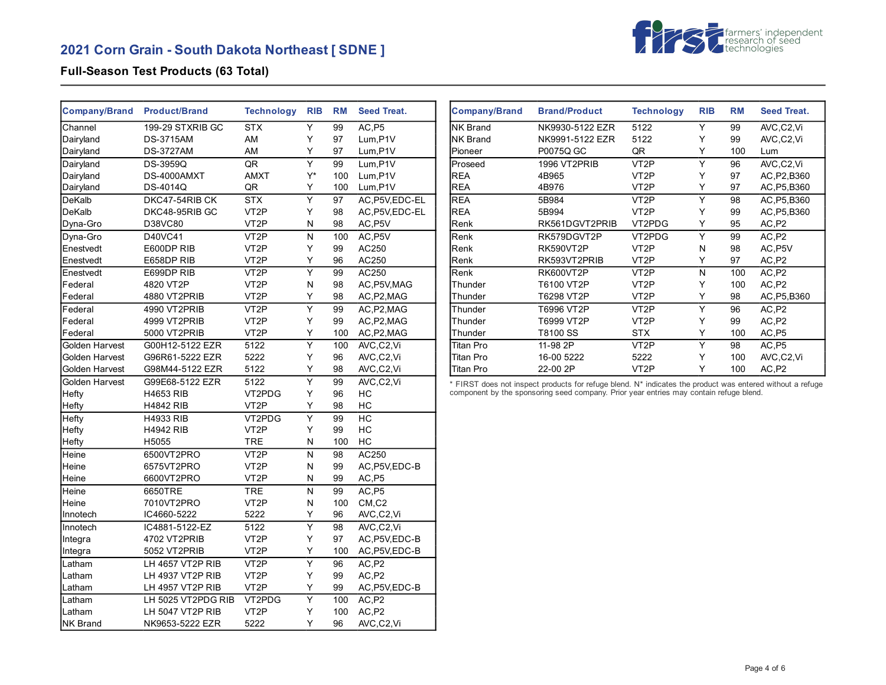# **2021 Corn Grain - South Dakota Northeast [ SDNE ]**



## **Full-Season Test Products (63 Total)**

| <b>Company/Brand</b> | <b>Product/Brand</b> | <b>Technology</b> | <b>RIB</b>              | <b>RM</b> | <b>Seed Treat.</b>               |
|----------------------|----------------------|-------------------|-------------------------|-----------|----------------------------------|
| Channel              | 199-29 STXRIB GC     | <b>STX</b>        | Υ                       | 99        | AC.P5                            |
| Dairyland            | <b>DS-3715AM</b>     | AM                | Y                       | 97        | Lum,P1V                          |
| Dairyland            | <b>DS-3727AM</b>     | AM                | Y                       | 97        | Lum,P1V                          |
| Dairyland            | DS-3959Q             | QR                | $\overline{\mathsf{Y}}$ | 99        | Lum,P1V                          |
| Dairyland            | DS-4000AMXT          | <b>AMXT</b>       | Y*                      | 100       | Lum, P1V                         |
| Dairyland            | DS-4014Q             | QR                | Y                       | 100       | Lum, P1V                         |
| DeKalb               | DKC47-54RIB CK       | <b>STX</b>        | Υ                       | 97        | AC, P5V, EDC-EL                  |
| DeKalb               | DKC48-95RIB GC       | VT <sub>2</sub> P | Y                       | 98        | AC.P5V.EDC-EL                    |
| Dyna-Gro             | D38VC80              | VT <sub>2</sub> P | N                       | 98        | AC, P5V                          |
| Dyna-Gro             | D40VC41              | VT <sub>2</sub> P | N                       | 100       | AC, P5V                          |
| Enestvedt            | E600DP RIB           | VT <sub>2</sub> P | Υ                       | 99        | AC250                            |
| Enestvedt            | E658DP RIB           | VT <sub>2</sub> P | Y                       | 96        | AC250                            |
| Enestvedt            | E699DP RIB           | VT <sub>2</sub> P | $\overline{\mathsf{Y}}$ | 99        | AC250                            |
| Federal              | 4820 VT2P            | VT <sub>2</sub> P | N                       | 98        | AC, P5V, MAG                     |
| Federal              | 4880 VT2PRIB         | VT <sub>2</sub> P | Υ                       | 98        | AC, P2, MAG                      |
| Federal              | 4990 VT2PRIB         | VT <sub>2</sub> P | Ÿ                       | 99        | AC, P2, MAG                      |
| Federal              | 4999 VT2PRIB         | VT <sub>2</sub> P | Υ                       | 99        | AC, P2, MAG                      |
| Federal              | 5000 VT2PRIB         | VT <sub>2</sub> P | Υ                       | 100       | AC, P2, MAG                      |
| Golden Harvest       | G00H12-5122 EZR      | 5122              | $\overline{\mathsf{Y}}$ | 100       | AVC,C2,Vi                        |
| Golden Harvest       | G96R61-5222 EZR      | 5222              | Υ                       | 96        | AVC,C2,Vi                        |
| Golden Harvest       | G98M44-5122 EZR      | 5122              | Υ                       | 98        | AVC,C2,Vi                        |
| Golden Harvest       | G99E68-5122 EZR      | 5122              | $\overline{\mathsf{Y}}$ | 99        | AVC,C2,Vi                        |
| Hefty                | <b>H4653 RIB</b>     | VT2PDG            | Υ                       | 96        | НC                               |
| Hefty                | <b>H4842 RIB</b>     | VT <sub>2</sub> P | Υ                       | 98        | HC                               |
| Hefty                | <b>H4933 RIB</b>     | VT2PDG            | Ÿ                       | 99        | HC                               |
| Hefty                | <b>H4942 RIB</b>     | VT <sub>2</sub> P | Υ                       | 99        | НC                               |
| Hefty                | H5055                | <b>TRE</b>        | N                       | 100       | НC                               |
| Heine                | 6500VT2PRO           | VT <sub>2</sub> P | N                       | 98        | AC250                            |
| Heine                | 6575VT2PRO           | VT <sub>2</sub> P | Ν                       | 99        | AC, P5V, EDC-B                   |
| Heine                | 6600VT2PRO           | VT <sub>2</sub> P | N                       | 99        | AC,P5                            |
| Heine                | 6650TRE              | <b>TRE</b>        | N                       | 99        | AC,P5                            |
| Heine                | 7010VT2PRO           | VT <sub>2</sub> P | N                       | 100       | $CM$ <sub>,<math>C2</math></sub> |
| Innotech             | IC4660-5222          | 5222              | Υ                       | 96        | AVC,C2,Vi                        |
| Innotech             | IC4881-5122-EZ       | 5122              | $\overline{\mathsf{Y}}$ | 98        | AVC,C2,Vi                        |
| Integra              | 4702 VT2PRIB         | VT <sub>2</sub> P | Y                       | 97        | AC, P5V, EDC-B                   |
| Integra              | 5052 VT2PRIB         | VT <sub>2</sub> P | Υ                       | 100       | AC, P5V, EDC-B                   |
| Latham               | LH 4657 VT2P RIB     | VT <sub>2</sub> P | $\overline{\mathsf{Y}}$ | 96        | AC,P2                            |
| Latham               | LH 4937 VT2P RIB     | VT <sub>2</sub> P | Υ                       | 99        | AC,P2                            |
| Latham               | LH 4957 VT2P RIB     | VT <sub>2</sub> P | Y                       | 99        | AC, P5V, EDC-B                   |
| Latham               | LH 5025 VT2PDG RIB   | VT2PDG            | Υ                       | 100       | AC,P2                            |
| Latham               | LH 5047 VT2P RIB     | VT <sub>2</sub> P | Y                       | 100       | AC,P2                            |
| <b>NK Brand</b>      | NK9653-5222 EZR      | 5222              | Y                       | 96        | AVC,C2,Vi                        |

| <b>Company/Brand</b> | <b>Brand/Product</b> | <b>Technology</b> | <b>RIB</b> | <b>RM</b> | <b>Seed Treat.</b> |
|----------------------|----------------------|-------------------|------------|-----------|--------------------|
| INK Brand            | NK9930-5122 EZR      | 5122              | Y          | 99        | AVC,C2,Vi          |
| <b>NK Brand</b>      | NK9991-5122 EZR      | 5122              | Υ          | 99        | AVC,C2,Vi          |
| Pioneer              | P0075Q GC            | QR                | Y          | 100       | Lum                |
| Proseed              | 1996 VT2PRIB         | VT <sub>2</sub> P | Y          | 96        | AVC,C2,Vi          |
| <b>REA</b>           | 4B965                | VT <sub>2</sub> P | Υ          | 97        | AC, P2, B360       |
| <b>REA</b>           | 4B976                | VT <sub>2</sub> P | Y          | 97        | AC, P5, B360       |
| <b>REA</b>           | 5B984                | VT <sub>2</sub> P | Y          | 98        | AC, P5, B360       |
| <b>REA</b>           | 5B994                | VT <sub>2</sub> P | Y          | 99        | AC, P5, B360       |
| Renk                 | RK561DGVT2PRIB       | VT2PDG            | Y          | 95        | AC, P2             |
| Renk                 | RK579DGVT2P          | VT2PDG            | Y          | 99        | AC,P2              |
| Renk                 | <b>RK590VT2P</b>     | VT <sub>2</sub> P | N          | 98        | AC, P5V            |
| Renk                 | RK593VT2PRIB         | VT <sub>2</sub> P | Y          | 97        | AC,P2              |
| Renk                 | <b>RK600VT2P</b>     | VT <sub>2</sub> P | N          | 100       | AC,P2              |
| Thunder              | T6100 VT2P           | VT <sub>2</sub> P | Υ          | 100       | AC,P2              |
| Thunder              | T6298 VT2P           | VT <sub>2</sub> P | Y          | 98        | AC, P5, B360       |
| Thunder              | T6996 VT2P           | VT <sub>2</sub> P | Y          | 96        | AC,P <sub>2</sub>  |
| Thunder              | T6999 VT2P           | VT <sub>2</sub> P | Y          | 99        | AC,P2              |
| Thunder              | T8100 SS             | <b>STX</b>        | Υ          | 100       | AC, P5             |
| Titan Pro            | 11-98 2P             | VT <sub>2</sub> P | Y          | 98        | AC,P5              |
| Titan Pro            | 16-00 5222           | 5222              | Y          | 100       | AVC,C2,Vi          |
| <b>Titan Pro</b>     | 22-00 2P             | VT2P              | Y          | 100       | AC,P2              |

\* FIRST does not inspect products for refuge blend. N\* indicates the product was entered without a refuge component by the sponsoring seed company. Prior year entries may contain refuge blend.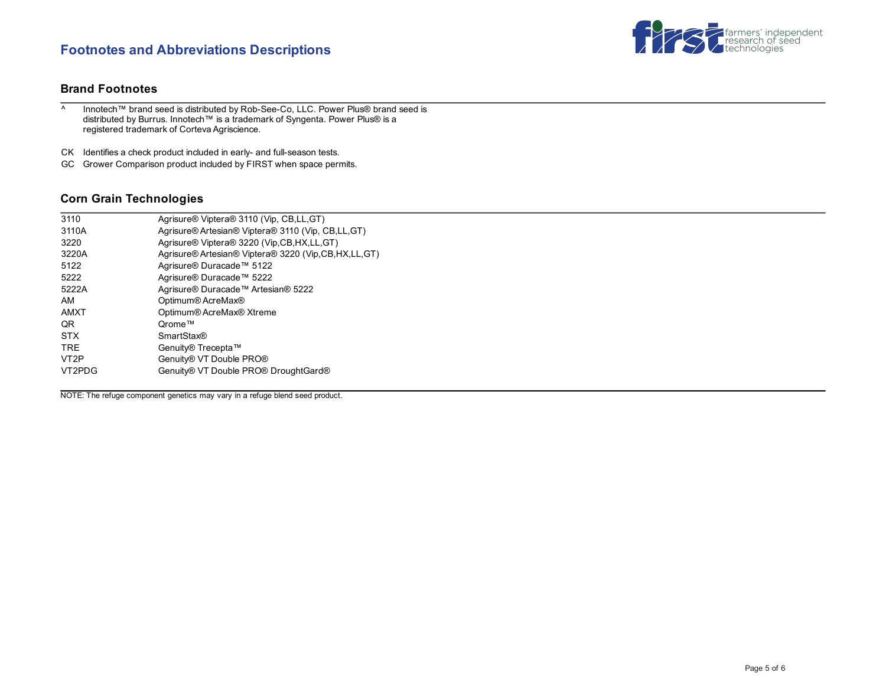## **Footnotes and Abbreviations Descriptions**



### **Brand Footnotes**

^ Innotech™ brand seed is distributed by Rob-See-Co, LLC. Power Plus® brand seed is distributed by Burrus. Innotech™ is a trademark of Syngenta. Power Plus® is a registered trademark of Corteva Agriscience.

CK Identifies a check product included in early- and full-season tests.

GC Grower Comparison product included by FIRST when space permits.

### **Corn Grain Technologies**

| 3110              | Agrisure® Viptera® 3110 (Vip, CB,LL,GT)                |
|-------------------|--------------------------------------------------------|
| 3110A             | Agrisure® Artesian® Viptera® 3110 (Vip, CB,LL,GT)      |
| 3220              | Agrisure® Viptera® 3220 (Vip, CB, HX, LL, GT)          |
| 3220A             | Agrisure® Artesian® Viptera® 3220 (Vip.CB, HX, LL, GT) |
| 5122              | Agrisure® Duracade™ 5122                               |
| 5222              | Agrisure® Duracade™ 5222                               |
| 5222A             | Agrisure® Duracade™ Artesian® 5222                     |
| AM                | Optimum® AcreMax®                                      |
| <b>AMXT</b>       | Optimum® AcreMax® Xtreme                               |
| QR.               | Orome™                                                 |
| <b>STX</b>        | <b>SmartStax®</b>                                      |
| <b>TRE</b>        | Genuity® Trecepta™                                     |
| VT <sub>2</sub> P | Genuity® VT Double PRO®                                |
| VT2PDG            | Genuity® VT Double PRO® DroughtGard®                   |
|                   |                                                        |

NOTE: The refuge component genetics may vary in a refuge blend seed product.